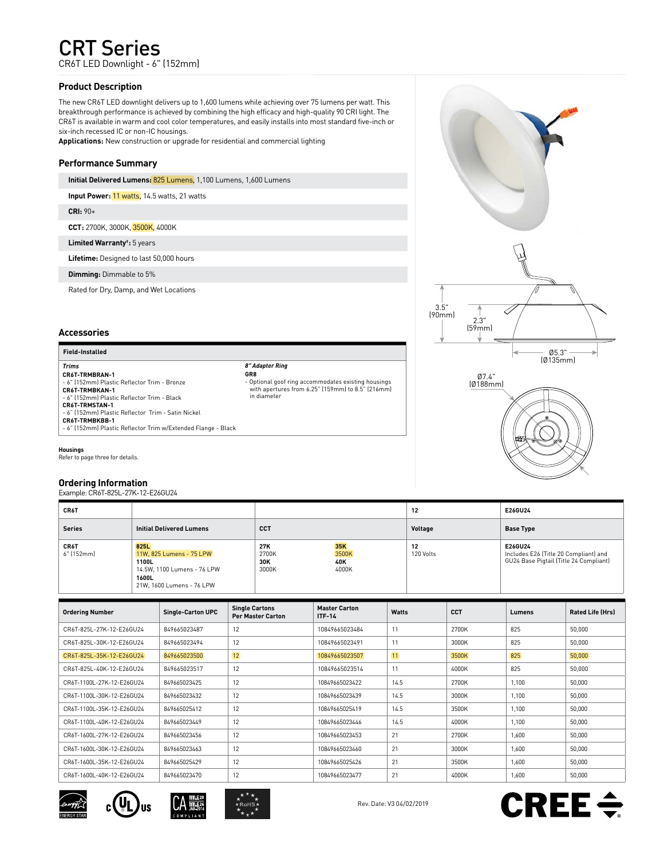# CRT Series

CR6T LED Downlight - 6" (152mm)

# **Product Description**

The new CR6T LED downlight delivers up to 1,600 lumens while achieving over 75 lumens per watt. This breakthrough performance is achieved by combining the high efficacy and high-quality 90 CRI light. The CR6T is available in warm and cool color temperatures, and easily installs into most standard five-inch or six-inch recessed IC or non-IC housings.

**Applications:** New construction or upgrade for residential and commercial lighting

# **Performance Summary**

**Initial Delivered Lumens:** 825 Lumens, 1,100 Lumens, 1,600 Lumens

**Input Power:** 11 watts, 14.5 watts, 21 watts

**CRI:** 90+

**CCT:** 2700K, 3000K, 3500K, 4000K

**Limited Warranty† :** 5 years

**Lifetime:** Designed to last 50,000 hours

**Dimming:** Dimmable to 5%

Rated for Dry, Damp, and Wet Locations

# **Accessories**

**Field-Installed**

*Trims* **CR6T-TRMBRAN-1** - 6" (152mm) Plastic Reflector Trim - Bronze **CR6T-TRMBKAN-1** - 6" (152mm) Plastic Reflector Trim - Black **CR6T-TRMSTAN-1** - 6" (152mm) Plastic Reflector Trim - Satin Nickel **CR6T-TRMBKBB-1** - 6" (152mm) Plastic Reflector Trim w/Extended Flange - Black *8" Adapter Ring*

**GR8**  - Optional goof ring accommodates existing housings with apertures from 6.25" (159mm) to 8.5" (216mm) in diameter

**Housings** Refer to page three for details.

# **Ordering Information**

Example: CR6T-825L-27K-12-E26GU24

| CR6T               |                                                                                                                |                              |                              | 12              | E26GU24                                                                                    |
|--------------------|----------------------------------------------------------------------------------------------------------------|------------------------------|------------------------------|-----------------|--------------------------------------------------------------------------------------------|
| <b>Series</b>      | <b>Initial Delivered Lumens</b>                                                                                | <b>CCT</b>                   |                              | Voltage         | <b>Base Type</b>                                                                           |
| CR6T<br>6" [152mm] | 825L<br>11W, 825 Lumens - 75 LPW<br>1100L<br>14.5W, 1100 Lumens - 76 LPW<br>1600L<br>21W. 1600 Lumens - 76 LPW | 27K<br>2700K<br>30K<br>3000K | 35K<br>3500K<br>40K<br>4000K | 12<br>120 Volts | E26GU24<br>Includes E26 (Title 20 Compliant) and<br>GU24 Base Pigtail (Title 24 Compliant) |

| <b>Ordering Number</b>    | <b>Single-Carton UPC</b> | <b>Single Cartons</b><br><b>Per Master Carton</b> | <b>Master Carton</b><br><b>ITF-14</b> | Watts | <b>CCT</b> | Lumens | <b>Rated Life (Hrs)</b> |
|---------------------------|--------------------------|---------------------------------------------------|---------------------------------------|-------|------------|--------|-------------------------|
| CR6T-825L-27K-12-E26GU24  | 849665023487             | 12                                                | 10849665023484                        | 11    | 2700K      | 825    | 50,000                  |
| CR6T-825L-30K-12-F26GU24  | 849665023494             | 12                                                | 10849665023491                        | 11    | 3000K      | 825    | 50,000                  |
| CR6T-825L-35K-12-E26GU24  | 849665023500             | 12                                                | 10849665023507                        | 11    | 3500K      | 825    | 50,000                  |
| CR6T-825L-40K-12-E26GU24  | 849665023517             | 12                                                | 10849665023514                        | 11    | 4000K      | 825    | 50,000                  |
| CR6T-1100L-27K-12-E26GU24 | 849665023425             | 12                                                | 10849665023422                        | 14.5  | 2700K      | 1.100  | 50,000                  |
| CR6T-1100L-30K-12-F26GU24 | 849665023432             | 12                                                | 10849665023439                        | 14.5  | 3000K      | 1.100  | 50,000                  |
| CR6T-1100L-35K-12-E26GU24 | 849665025412             | 12                                                | 10849665025419                        | 14.5  | 3500K      | 1,100  | 50,000                  |
| CR6T-1100L-40K-12-E26GU24 | 849665023449             | 12                                                | 10849665023446                        | 14.5  | 4000K      | 1,100  | 50,000                  |
| CR6T-1600L-27K-12-F26GU24 | 849665023456             | 12                                                | 10849665023453                        | 21    | 2700K      | 1,600  | 50,000                  |
| CR6T-1600L-30K-12-E26GU24 | 849665023463             | 12                                                | 10849665023460                        | 21    | 3000K      | 1,600  | 50,000                  |
| CR6T-1600L-35K-12-E26GU24 | 849665025429             | 12                                                | 10849665025426                        | 21    | 3500K      | 1,600  | 50,000                  |
| CR6T-1600L-40K-12-E26GU24 | 849665023470             | 12                                                | 10849665023477                        | 21    | 4000K      | 1,600  | 50,000                  |











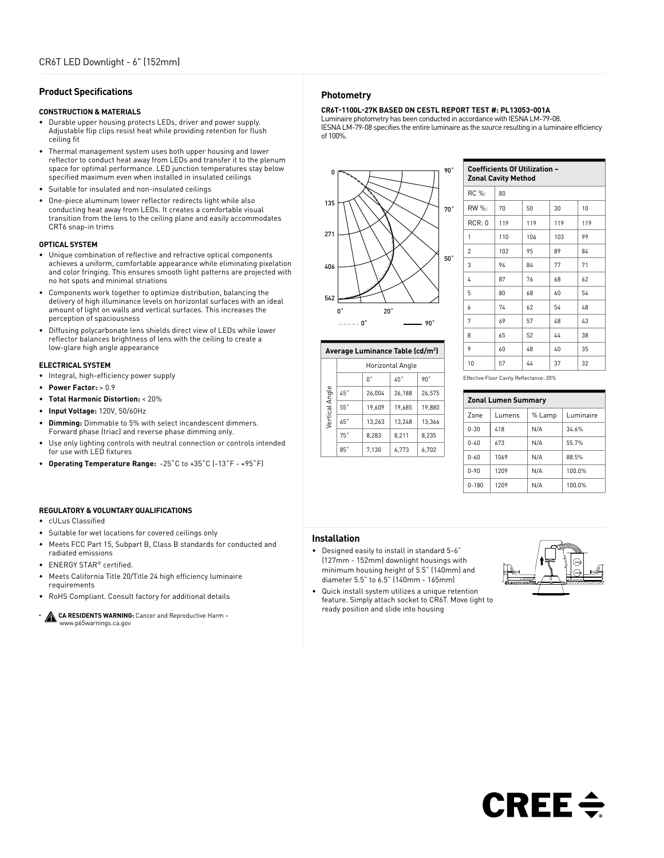## **Product Specifications**

## **CONSTRUCTION & MATERIALS**

- Durable upper housing protects LEDs, driver and power supply. Adjustable flip clips resist heat while providing retention for flush ceiling fit
- Thermal management system uses both upper housing and lower reflector to conduct heat away from LEDs and transfer it to the plenum space for optimal performance. LED junction temperatures stay below specified maximum even when installed in insulated ceilings
- Suitable for insulated and non-insulated ceilings
- One-piece aluminum lower reflector redirects light while also conducting heat away from LEDs. It creates a comfortable visual transition from the lens to the ceiling plane and easily accommodates CRT6 snap-in trims

## **OPTICAL SYSTEM**

- Unique combination of reflective and refractive optical components achieves a uniform, comfortable appearance while eliminating pixelation and color fringing. This ensures smooth light patterns are projected with no hot spots and minimal striations
- Components work together to optimize distribution, balancing the delivery of high illuminance levels on horizontal surfaces with an ideal amount of light on walls and vertical surfaces. This increases the perception of spaciousness
- Diffusing polycarbonate lens shields direct view of LEDs while lower reflector balances brightness of lens with the ceiling to create a low-glare high angle appearance

#### **ELECTRICAL SYSTEM**

- Integral, high-efficiency power supply
- **Power Factor:** > 0.9
- **Total Harmonic Distortion:** < 20%
- **Input Voltage:** 120V, 50/60Hz
- **Dimming:** Dimmable to 5% with select incandescent dimmers. Forward phase (triac) and reverse phase dimming only.
- Use only lighting controls with neutral connection or controls intended for use with LED fixtures
- **Operating Temperature Range:** -25˚C to +35˚C (-13˚F +95˚F)

## **REGULATORY & VOLUNTARY QUALIFICATIONS**

- cULus Classified
- Suitable for wet locations for covered ceilings only
- Meets FCC Part 15, Subpart B, Class B standards for conducted and radiated emissions
- ENERGY STAR® certified.
- Meets California Title 20/Title 24 high efficiency luminaire requirements
- RoHS Compliant. Consult factory for additional details
- **CA RESIDENTS WARNING:** Cancer and Reproductive Harm www.p65warnings.ca.gov

## **Photometry**

## **CR6T-1100L-27K BASED ON CESTL REPORT TEST #: PL13053-001A**

Luminaire photometry has been conducted in accordance with IESNA LM-79-08. IESNA LM-79-08 specifies the entire luminaire as the source resulting in a luminaire efficiency of 100%.



| <b>Coefficients Of Utilization -</b><br><b>Zonal Cavity Method</b> |     |     |     |     |  |
|--------------------------------------------------------------------|-----|-----|-----|-----|--|
| RC %:                                                              | 80  |     |     |     |  |
| RW %:                                                              | 70  | 50  | 30  | 10  |  |
| RCR:0                                                              | 119 | 119 | 119 | 119 |  |
| 1                                                                  | 110 | 106 | 103 | 99  |  |
| 2                                                                  | 102 | 95  | 89  | 84  |  |
| 3                                                                  | 94  | 84  | 77  | 71  |  |
| 4                                                                  | 87  | 76  | 68  | 62  |  |
| 5                                                                  | 80  | 68  | 60  | 54  |  |
| 6                                                                  | 74  | 62  | 54  | 48  |  |
| 7                                                                  | 69  | 57  | 48  | 43  |  |
| 8                                                                  | 65  | 52  | 44  | 38  |  |
| 9                                                                  | 60  | 48  | 40  | 35  |  |
| 10                                                                 | 57  | 44  | 37  | 32  |  |

#### **Average Luminance Table (cd/m2 )**

0˚ 90˚

|                | Horizontal Angle |        |              |        |  |
|----------------|------------------|--------|--------------|--------|--|
|                |                  | U.     | $45^{\circ}$ | 90°    |  |
|                | 45°              | 26.004 | 26,188       | 26.575 |  |
| Vertical Angle | 55°              | 19.609 | 19.685       | 19.880 |  |
|                | 65°              | 13.263 | 13.248       | 13.366 |  |
|                | 75°              | 8.283  | 8.211        | 8.235  |  |
|                | 85°              | 7,130  | 6,773        | 6,702  |  |

| Effective Floor Cavity Reflectance: 20% |
|-----------------------------------------|
|-----------------------------------------|

| <b>Zonal Lumen Summary</b> |        |        |           |  |  |
|----------------------------|--------|--------|-----------|--|--|
| Zone                       | Lumens | % Lamp | Luminaire |  |  |
| $0 - 30$                   | 418    | N/A    | 34.6%     |  |  |
| $0 - 40$                   | 673    | N/A    | 55.7%     |  |  |
| $0 - 60$                   | 1069   | N/A    | 88.5%     |  |  |
| $0 - 90$                   | 1209   | N/A    | 100.0%    |  |  |
| $0 - 180$                  | 1209   | N/A    | 100.0%    |  |  |

### **Installation**

- Designed easily to install in standard 5-6" (127mm - 152mm) downlight housings with minimum housing height of 5.5" (140mm) and diameter 5.5" to 6.5" (140mm - 165mm)
- Quick install system utilizes a unique retention feature. Simply attach socket to CR6T. Move light to ready position and slide into housing